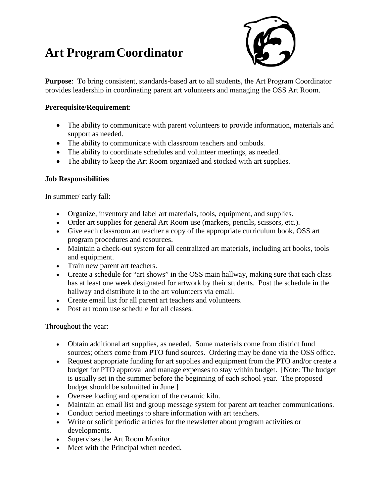## **Art ProgramCoordinator**



**Purpose**: To bring consistent, standards-based art to all students, the Art Program Coordinator provides leadership in coordinating parent art volunteers and managing the OSS Art Room.

## **Prerequisite/Requirement**:

- The ability to communicate with parent volunteers to provide information, materials and support as needed.
- The ability to communicate with classroom teachers and ombuds.
- The ability to coordinate schedules and volunteer meetings, as needed.
- The ability to keep the Art Room organized and stocked with art supplies.

## **Job Responsibilities**

In summer/ early fall:

- Organize, inventory and label art materials, tools, equipment, and supplies.
- Order art supplies for general Art Room use (markers, pencils, scissors, etc.).
- Give each classroom art teacher a copy of the appropriate curriculum book, OSS art program procedures and resources.
- Maintain a check-out system for all centralized art materials, including art books, tools and equipment.
- Train new parent art teachers.
- Create a schedule for "art shows" in the OSS main hallway, making sure that each class has at least one week designated for artwork by their students. Post the schedule in the hallway and distribute it to the art volunteers via email.
- Create email list for all parent art teachers and volunteers.
- Post art room use schedule for all classes.

Throughout the year:

- Obtain additional art supplies, as needed. Some materials come from district fund sources; others come from PTO fund sources. Ordering may be done via the OSS office.
- Request appropriate funding for art supplies and equipment from the PTO and/or create a budget for PTO approval and manage expenses to stay within budget. [Note: The budget is usually set in the summer before the beginning of each school year. The proposed budget should be submitted in June.]
- Oversee loading and operation of the ceramic kiln.
- Maintain an email list and group message system for parent art teacher communications.
- Conduct period meetings to share information with art teachers.
- Write or solicit periodic articles for the newsletter about program activities or developments.
- Supervises the Art Room Monitor.
- Meet with the Principal when needed.